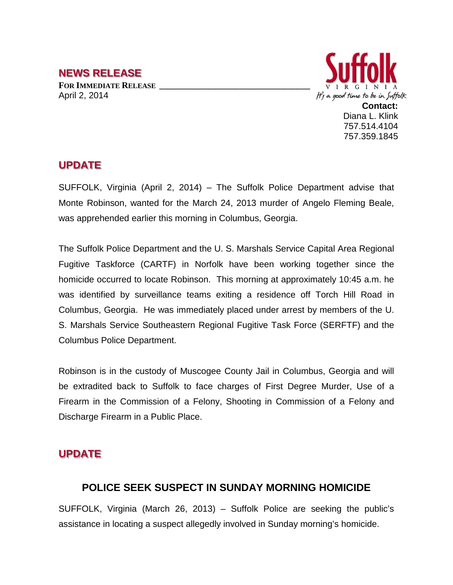### **NEWS RELEASE**

**FOR IMMEDIATE RELEASE \_\_\_\_\_\_\_\_\_\_\_\_\_\_\_\_\_\_\_\_\_\_\_\_\_\_\_\_\_\_\_\_\_\_** April 2, 2014



Diana L. Klink 757.514.4104 757.359.1845

## **UPDATE**

SUFFOLK, Virginia (April 2, 2014) – The Suffolk Police Department advise that Monte Robinson, wanted for the March 24, 2013 murder of Angelo Fleming Beale, was apprehended earlier this morning in Columbus, Georgia.

The Suffolk Police Department and the U. S. Marshals Service Capital Area Regional Fugitive Taskforce (CARTF) in Norfolk have been working together since the homicide occurred to locate Robinson. This morning at approximately 10:45 a.m. he was identified by surveillance teams exiting a residence off Torch Hill Road in Columbus, Georgia. He was immediately placed under arrest by members of the U. S. Marshals Service Southeastern Regional Fugitive Task Force (SERFTF) and the Columbus Police Department.

Robinson is in the custody of Muscogee County Jail in Columbus, Georgia and will be extradited back to Suffolk to face charges of First Degree Murder, Use of a Firearm in the Commission of a Felony, Shooting in Commission of a Felony and Discharge Firearm in a Public Place.

# **UPDATE**

### **POLICE SEEK SUSPECT IN SUNDAY MORNING HOMICIDE**

SUFFOLK, Virginia (March 26, 2013) – Suffolk Police are seeking the public's assistance in locating a suspect allegedly involved in Sunday morning's homicide.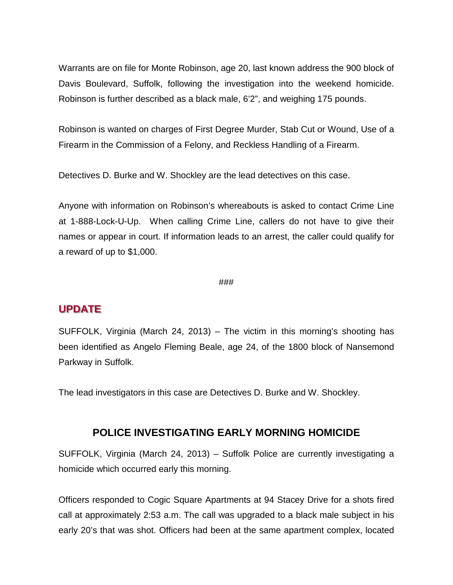Warrants are on file for Monte Robinson, age 20, last known address the 900 block of Davis Boulevard, Suffolk, following the investigation into the weekend homicide. Robinson is further described as a black male, 6'2", and weighing 175 pounds.

Robinson is wanted on charges of First Degree Murder, Stab Cut or Wound, Use of a Firearm in the Commission of a Felony, and Reckless Handling of a Firearm.

Detectives D. Burke and W. Shockley are the lead detectives on this case.

Anyone with information on Robinson's whereabouts is asked to contact Crime Line at 1-888-Lock-U-Up. When calling Crime Line, callers do not have to give their names or appear in court. If information leads to an arrest, the caller could qualify for a reward of up to \$1,000.

#### ###

### **UPDATE**

SUFFOLK, Virginia (March 24, 2013) – The victim in this morning's shooting has been identified as Angelo Fleming Beale, age 24, of the 1800 block of Nansemond Parkway in Suffolk.

The lead investigators in this case are Detectives D. Burke and W. Shockley.

### **POLICE INVESTIGATING EARLY MORNING HOMICIDE**

SUFFOLK, Virginia (March 24, 2013) – Suffolk Police are currently investigating a homicide which occurred early this morning.

Officers responded to Cogic Square Apartments at 94 Stacey Drive for a shots fired call at approximately 2:53 a.m. The call was upgraded to a black male subject in his early 20's that was shot. Officers had been at the same apartment complex, located